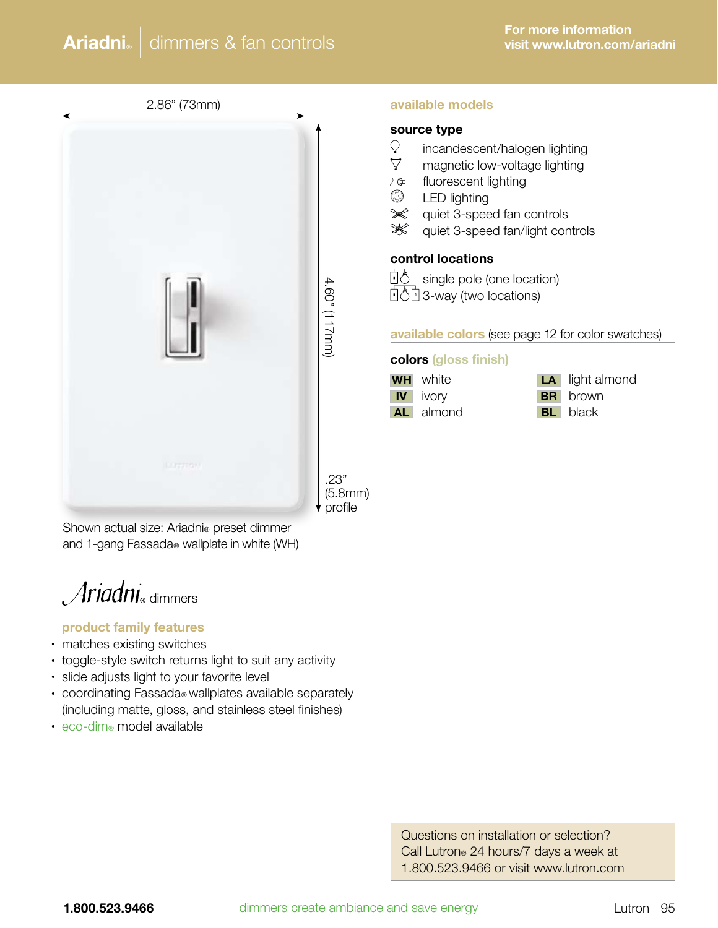2.86" (73mm)

#### available models

#### source type

- Q. incandescent/halogen lighting
- $\triangledown$ magnetic low-voltage lighting
- ⚠ fluorescent lighting
- ඎ LED lighting
- $\ggg$ quiet 3-speed fan controls
- ₩ quiet 3-speed fan/light controls

## control locations



**D**<sup>6</sup> single pole (one location) **1603-way (two locations)** 

#### available colors (see page 12 for color swatches)

#### colors (gloss finish)

| WН | white  |
|----|--------|
| IV | ivory  |
| AL | almond |

- **WH** white **LA** light almond **BR** brown
	- **BL** black

.23" (5.8mm) profile

4.60" (117mm)

.60" (117mm)

Shown actual size: Ariadni® preset dimmer and 1-gang Fassada® wallplate in white (WH)

 $Ari$ adni $_{\tiny{\text{diammers}}}$ 

#### product family features

- matches existing switches
- toggle-style switch returns light to suit any activity
- slide adjusts light to your favorite level
- coordinating Fassada® wallplates available separately (including matte, gloss, and stainless steel finishes)
- eco-dim® model available

 Questions on installation or selection? Call Lutron® 24 hours/7 days a week at 1.800.523.9466 or visit www.lutron.com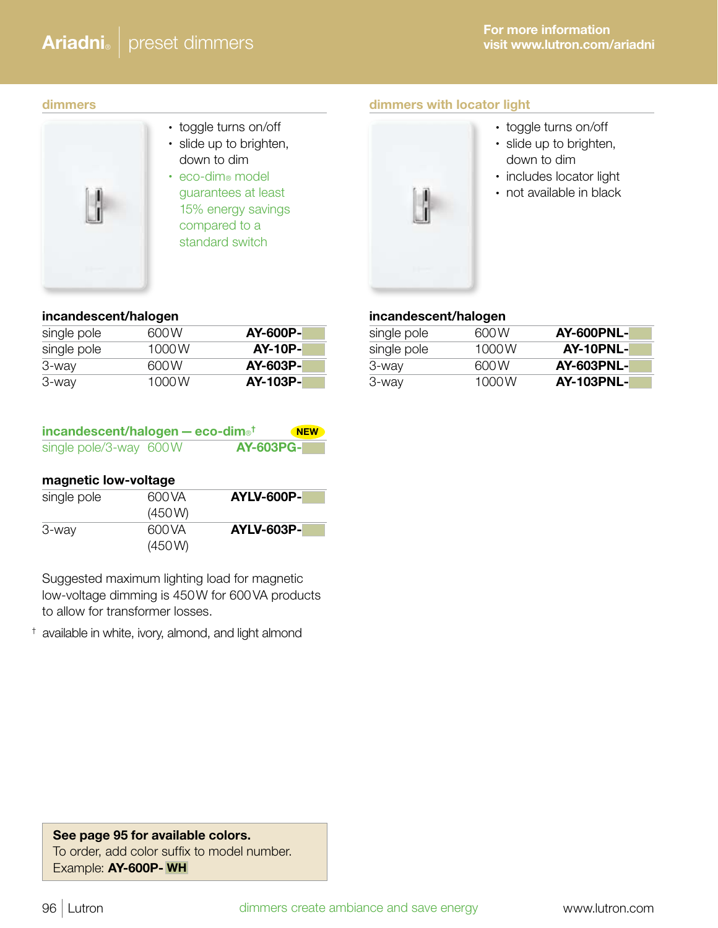# Ariadni<sup>®</sup> preset dimmers

#### dimmers

- 
- toggle turns on/off • slide up to brighten, down to dim
	- eco-dim® model guarantees at least 15% energy savings compared to a standard switch

## dimmers with locator light



- toggle turns on/off
- slide up to brighten, down to dim
- includes locator light
- not available in black

## incandescent/halogen

| single pole | 600 W | AY-600P-        |
|-------------|-------|-----------------|
| single pole | 1000W | <b>AY-10P-</b>  |
| 3-way       | 600 W | <b>AY-603P-</b> |
| 3-way       | 1000W | AY-103P-        |

| incandescent/halogen - eco-dim <sup>®†</sup> |                  | <b>NEW</b> |
|----------------------------------------------|------------------|------------|
| single pole/3-way 600W                       | <b>AY-603PG-</b> |            |

## magnetic low-voltage

| single pole | 600 VA | <b>AYLV-600P-</b> |
|-------------|--------|-------------------|
|             | (450W) |                   |
| 3-way       | 600 VA | <b>AYLV-603P-</b> |
|             | (450W) |                   |

Suggested maximum lighting load for magnetic low-voltage dimming is 450W for 600VA products to allow for transformer losses.

† available in white, ivory, almond, and light almond

## incandescent/halogen

| single pole | 600 W | <b>AY-600PNL-</b> |
|-------------|-------|-------------------|
| single pole | 1000W | AY-10PNL-         |
| 3-way       | 600 W | <b>AY-603PNL-</b> |
| 3-way       | 1000W | <b>AY-103PNL-</b> |

## See page 95 for available colors. To order, add color suffix to model number. Example: AY-600P- WH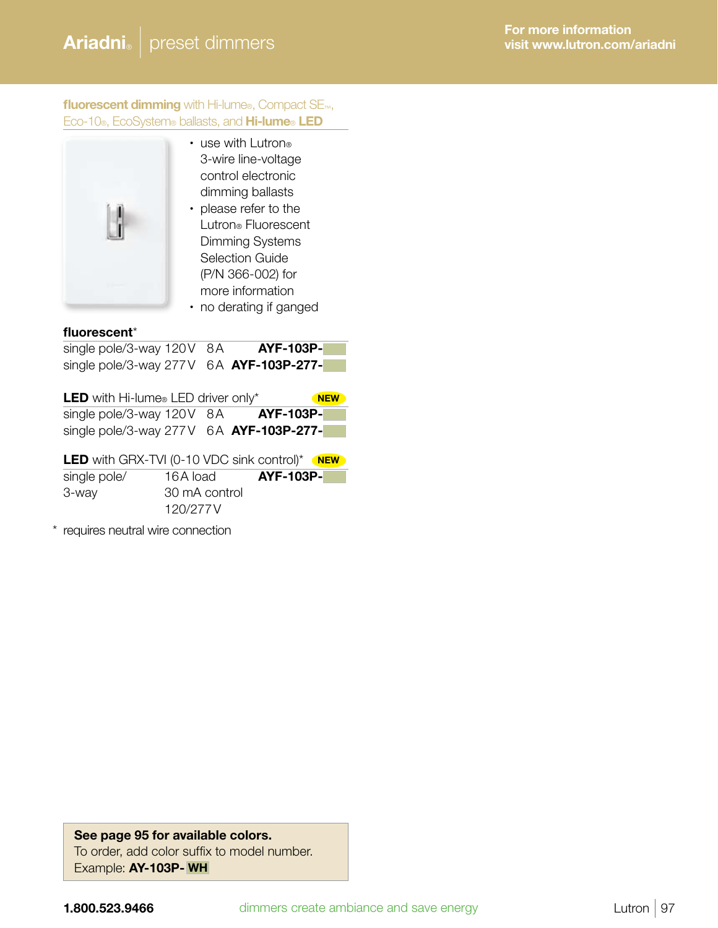fluorescent dimming with Hi-lume®, Compact SE<sub>™</sub>, Eco-10®, EcoSystem® ballasts, and Hi-lume® LED



- use with Lutron® 3-wire line-voltage control electronic dimming ballasts
- please refer to the Lutron® Fluorescent Dimming Systems Selection Guide (P/N 366-002) for more information
- no derating if ganged

#### fluorescent\*

| single pole/3-way 120V 8A                 | <b>AYF-103P-</b> |
|-------------------------------------------|------------------|
| single pole/3-way 277V $6A$ AYF-103P-277- |                  |

| <b>LED</b> with Hi-lume <sup>®</sup> LED driver only* | <b>NEW</b>       |
|-------------------------------------------------------|------------------|
| single pole/3-way 120V 8A                             | <b>AYF-103P-</b> |
| single pole/3-way $277V$ 6A $AYF-103P-277-$           |                  |

|              | <b>LED</b> with GRX-TVI (0-10 VDC sink control)* NEW |                  |  |
|--------------|------------------------------------------------------|------------------|--|
| single pole/ | 16A load                                             | <b>AYF-103P-</b> |  |
| 3-way        | 30 mA control                                        |                  |  |
|              | 120/277V                                             |                  |  |

\* requires neutral wire connection

See page 95 for available colors. To order, add color suffix to model number. Example: AY-103P- WH